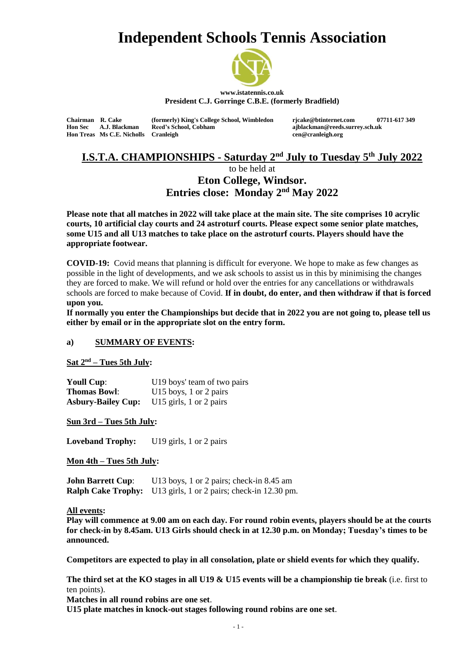# **Independent Schools Tennis Association**



**www.istatennis.co.uk President C.J. Gorringe C.B.E. (formerly Bradfield)**

**Hon Treas Ms C.E. Nicholls** 

**Homain Reed's School, Cobham ajblackman@reeds.surrey.sch.uk**<br> **Cranleigh and Communicate Constant Communicate Communicate Communicate Communicate Communicate Communicate Communicate Communicate Communicate Communicate** 

**Chairman R. Cake (formerly) King's College School, Wimbledon rjcake@btinternet.com 07711-617 349**

# **I.S.T.A. CHAMPIONSHIPS - Saturday 2 nd July to Tuesday 5 th July 2022**

to be held at

**Eton College, Windsor. Entries close: Monday 2nd May 2022**

**Please note that all matches in 2022 will take place at the main site. The site comprises 10 acrylic courts, 10 artificial clay courts and 24 astroturf courts. Please expect some senior plate matches, some U15 and all U13 matches to take place on the astroturf courts. Players should have the appropriate footwear.**

**COVID-19:** Covid means that planning is difficult for everyone. We hope to make as few changes as possible in the light of developments, and we ask schools to assist us in this by minimising the changes they are forced to make. We will refund or hold over the entries for any cancellations or withdrawals schools are forced to make because of Covid. **If in doubt, do enter, and then withdraw if that is forced upon you.**

**If normally you enter the Championships but decide that in 2022 you are not going to, please tell us either by email or in the appropriate slot on the entry form.**

#### **a) SUMMARY OF EVENTS:**

**Sat 2 nd – Tues 5th July:**

**Youll Cup:** U19 boys' team of two pairs **Thomas Bowl:** U15 boys, 1 or 2 pairs **Asbury-Bailey Cup:** U15 girls, 1 or 2 pairs

**Sun 3rd – Tues 5th July:**

Loveband Trophy: U19 girls, 1 or 2 pairs

**Mon 4th – Tues 5th July:**

**John Barrett Cup:** U13 boys, 1 or 2 pairs; check-in 8.45 am **Ralph Cake Trophy:** U13 girls, 1 or 2 pairs; check-in 12.30 pm.

**All events:**

**Play will commence at 9.00 am on each day. For round robin events, players should be at the courts for check-in by 8.45am. U13 Girls should check in at 12.30 p.m. on Monday; Tuesday's times to be announced.** 

**Competitors are expected to play in all consolation, plate or shield events for which they qualify.**

**The third set at the KO stages in all U19 & U15 events will be a championship tie break** (i.e. first to ten points).

**Matches in all round robins are one set**.

**U15 plate matches in knock-out stages following round robins are one set**.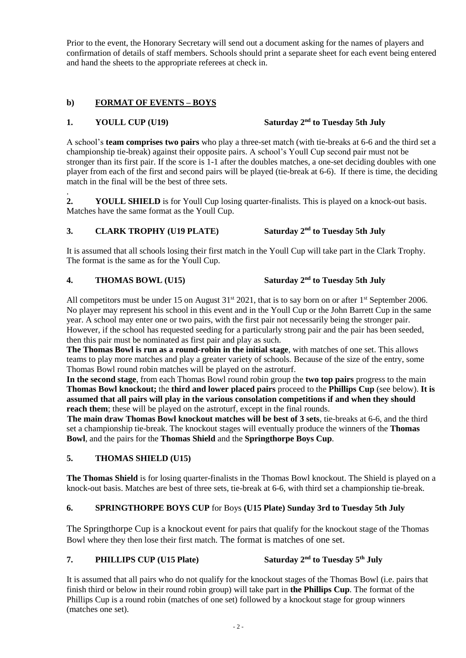Prior to the event, the Honorary Secretary will send out a document asking for the names of players and confirmation of details of staff members. Schools should print a separate sheet for each event being entered and hand the sheets to the appropriate referees at check in.

## **b) FORMAT OF EVENTS – BOYS**

#### **1. YOULL CUP** (U19)

# Saturday  $2^{nd}$  to Tuesday 5th July

A school's **team comprises two pairs** who play a three-set match (with tie-breaks at 6-6 and the third set a championship tie-break) against their opposite pairs. A school's Youll Cup second pair must not be stronger than its first pair. If the score is 1-1 after the doubles matches, a one-set deciding doubles with one player from each of the first and second pairs will be played (tie-break at 6-6). If there is time, the deciding match in the final will be the best of three sets.

. **2. YOULL SHIELD** is for Youll Cup losing quarter-finalists. This is played on a knock-out basis. Matches have the same format as the Youll Cup.

#### **3. CLARK TROPHY (U19 PLATE)** Saturday  $2^{nd}$  to Tuesday 5th July

It is assumed that all schools losing their first match in the Youll Cup will take part in the Clark Trophy. The format is the same as for the Youll Cup.

#### **4. THOMAS BOWL (U15) Saturday 2** Saturday  $2^{nd}$  to Tuesday 5th July

All competitors must be under 15 on August  $31^{st}$  2021, that is to say born on or after  $1^{st}$  September 2006. No player may represent his school in this event and in the Youll Cup or the John Barrett Cup in the same year. A school may enter one or two pairs, with the first pair not necessarily being the stronger pair. However, if the school has requested seeding for a particularly strong pair and the pair has been seeded, then this pair must be nominated as first pair and play as such.

**The Thomas Bowl is run as a round-robin in the initial stage**, with matches of one set. This allows teams to play more matches and play a greater variety of schools. Because of the size of the entry, some Thomas Bowl round robin matches will be played on the astroturf.

**In the second stage**, from each Thomas Bowl round robin group the **two top pairs** progress to the main **Thomas Bowl knockout;** the **third and lower placed pairs** proceed to the **Phillips Cup** (see below). **It is assumed that all pairs will play in the various consolation competitions if and when they should reach them**; these will be played on the astroturf, except in the final rounds.

**The main draw Thomas Bowl knockout matches will be best of 3 sets**, tie-breaks at 6-6, and the third set a championship tie-break. The knockout stages will eventually produce the winners of the **Thomas Bowl**, and the pairs for the **Thomas Shield** and the **Springthorpe Boys Cup**.

## **5. THOMAS SHIELD (U15)**

**The Thomas Shield** is for losing quarter-finalists in the Thomas Bowl knockout. The Shield is played on a knock-out basis. Matches are best of three sets, tie-break at 6-6, with third set a championship tie-break.

#### **6. SPRINGTHORPE BOYS CUP** for Boys **(U15 Plate) Sunday 3rd to Tuesday 5th July**

The Springthorpe Cup is a knockout event for pairs that qualify for the knockout stage of the Thomas Bowl where they then lose their first match. The format is matches of one set.

#### **7. PHILLIPS CUP** (U15 Plate) **nd to Tuesday 5 th July**

It is assumed that all pairs who do not qualify for the knockout stages of the Thomas Bowl (i.e. pairs that finish third or below in their round robin group) will take part in **the Phillips Cup**. The format of the Phillips Cup is a round robin (matches of one set) followed by a knockout stage for group winners (matches one set).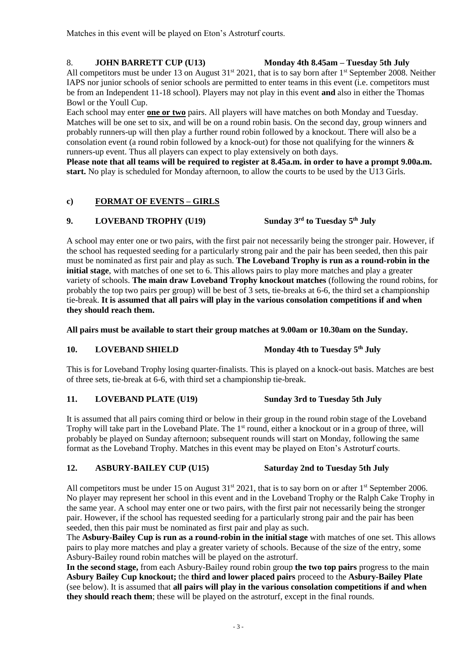Matches in this event will be played on Eton's Astroturf courts.

#### 8. **JOHN BARRETT CUP (U13) Monday 4th 8.45am – Tuesday 5th July**

All competitors must be under 13 on August 31<sup>st</sup> 2021, that is to say born after 1<sup>st</sup> September 2008. Neither IAPS nor junior schools of senior schools are permitted to enter teams in this event (i.e. competitors must be from an Independent 11-18 school). Players may not play in this event **and** also in either the Thomas Bowl or the Youll Cup.

Each school may enter **one or two** pairs. All players will have matches on both Monday and Tuesday. Matches will be one set to six, and will be on a round robin basis. On the second day, group winners and probably runners-up will then play a further round robin followed by a knockout. There will also be a consolation event (a round robin followed by a knock-out) for those not qualifying for the winners & runners-up event. Thus all players can expect to play extensively on both days.

**Please note that all teams will be required to register at 8.45a.m. in order to have a prompt 9.00a.m. start.** No play is scheduled for Monday afternoon, to allow the courts to be used by the U13 Girls.

## **c) FORMAT OF EVENTS – GIRLS**

#### **9. LOVEBAND TROPHY (U19)**

A school may enter one or two pairs, with the first pair not necessarily being the stronger pair. However, if the school has requested seeding for a particularly strong pair and the pair has been seeded, then this pair must be nominated as first pair and play as such. **The Loveband Trophy is run as a round-robin in the initial stage**, with matches of one set to 6. This allows pairs to play more matches and play a greater variety of schools. **The main draw Loveband Trophy knockout matches** (following the round robins, for probably the top two pairs per group) will be best of 3 sets, tie-breaks at 6-6, the third set a championship tie-break. **It is assumed that all pairs will play in the various consolation competitions if and when they should reach them.**

**All pairs must be available to start their group matches at 9.00am or 10.30am on the Sunday.**

## **10. LOVEBAND SHIELD Monday 4th to Tuesday 5<sup>th</sup> July**

This is for Loveband Trophy losing quarter-finalists. This is played on a knock-out basis. Matches are best of three sets, tie-break at 6-6, with third set a championship tie-break.

#### **11. LOVEBAND PLATE (U19) Sunday 3rd to Tuesday 5th July**

It is assumed that all pairs coming third or below in their group in the round robin stage of the Loveband Trophy will take part in the Loveband Plate. The 1<sup>st</sup> round, either a knockout or in a group of three, will probably be played on Sunday afternoon; subsequent rounds will start on Monday, following the same format as the Loveband Trophy. Matches in this event may be played on Eton's Astroturf courts.

#### **12. ASBURY-BAILEY CUP (U15) Saturday 2nd to Tuesday 5th July**

All competitors must be under 15 on August  $31^{st}$  2021, that is to say born on or after  $1^{st}$  September 2006. No player may represent her school in this event and in the Loveband Trophy or the Ralph Cake Trophy in the same year. A school may enter one or two pairs, with the first pair not necessarily being the stronger pair. However, if the school has requested seeding for a particularly strong pair and the pair has been seeded, then this pair must be nominated as first pair and play as such.

The **Asbury-Bailey Cup is run as a round-robin in the initial stage** with matches of one set. This allows pairs to play more matches and play a greater variety of schools. Because of the size of the entry, some Asbury-Bailey round robin matches will be played on the astroturf.

**In the second stage,** from each Asbury-Bailey round robin group **the two top pairs** progress to the main **Asbury Bailey Cup knockout;** the **third and lower placed pairs** proceed to the **Asbury-Bailey Plate** (see below). It is assumed that **all pairs will play in the various consolation competitions if and when they should reach them**; these will be played on the astroturf, except in the final rounds.

# **rd to Tuesday 5 th July**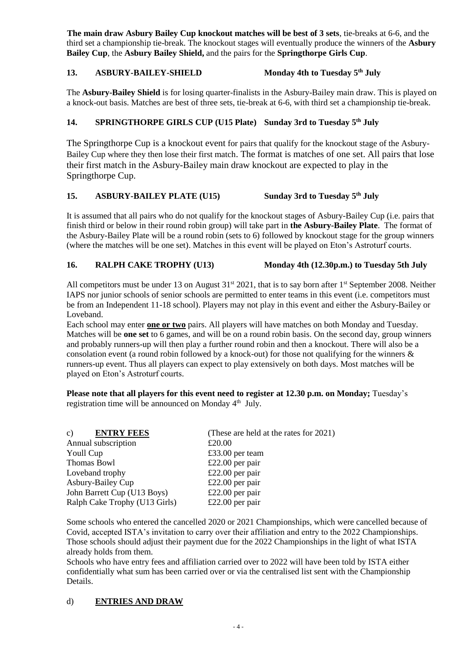**The main draw Asbury Bailey Cup knockout matches will be best of 3 sets**, tie-breaks at 6-6, and the third set a championship tie-break. The knockout stages will eventually produce the winners of the **Asbury Bailey Cup**, the **Asbury Bailey Shield,** and the pairs for the **Springthorpe Girls Cup**.

#### 13. **ASBURY-BAILEY-SHIELD Monday 4th to Tuesday 5<sup>th</sup> July**

The **Asbury-Bailey Shield** is for losing quarter-finalists in the Asbury-Bailey main draw. This is played on a knock-out basis. Matches are best of three sets, tie-break at 6-6, with third set a championship tie-break.

### **14. SPRINGTHORPE GIRLS CUP (U15 Plate) Sunday 3rd to Tuesday 5 th July**

The Springthorpe Cup is a knockout event for pairs that qualify for the knockout stage of the Asbury-Bailey Cup where they then lose their first match. The format is matches of one set. All pairs that lose their first match in the Asbury-Bailey main draw knockout are expected to play in the Springthorpe Cup.

#### **15. ASBURY-BAILEY PLATE (U15) Sunday 3rd to Tuesday 5<sup>th</sup> July**

It is assumed that all pairs who do not qualify for the knockout stages of Asbury-Bailey Cup (i.e. pairs that finish third or below in their round robin group) will take part in **the Asbury-Bailey Plate**. The format of the Asbury-Bailey Plate will be a round robin (sets to 6) followed by knockout stage for the group winners (where the matches will be one set). Matches in this event will be played on Eton's Astroturf courts.

### **16. RALPH CAKE TROPHY (U13) Monday 4th (12.30p.m.) to Tuesday 5th July**

All competitors must be under 13 on August 31<sup>st</sup> 2021, that is to say born after 1<sup>st</sup> September 2008. Neither IAPS nor junior schools of senior schools are permitted to enter teams in this event (i.e. competitors must be from an Independent 11-18 school). Players may not play in this event and either the Asbury-Bailey or Loveband.

Each school may enter **one or two** pairs. All players will have matches on both Monday and Tuesday. Matches will be **one set** to 6 games, and will be on a round robin basis. On the second day, group winners and probably runners-up will then play a further round robin and then a knockout. There will also be a consolation event (a round robin followed by a knock-out) for those not qualifying for the winners & runners-up event. Thus all players can expect to play extensively on both days. Most matches will be played on Eton's Astroturf courts.

**Please note that all players for this event need to register at 12.30 p.m. on Monday;** Tuesday's registration time will be announced on Monday 4<sup>th</sup> July.

| <b>ENTRY FEES</b><br>$\mathbf{c}$ ) | (These are held at the rates for 2021) |
|-------------------------------------|----------------------------------------|
| Annual subscription                 | £20.00                                 |
| Youll Cup                           | £33.00 per team                        |
| Thomas Bowl                         | £22.00 per pair                        |
| Loveband trophy                     | £22.00 per pair                        |
| Asbury-Bailey Cup                   | £22.00 per pair                        |
| John Barrett Cup (U13 Boys)         | £22.00 per pair                        |
| Ralph Cake Trophy (U13 Girls)       | £22.00 per pair                        |

Some schools who entered the cancelled 2020 or 2021 Championships, which were cancelled because of Covid, accepted ISTA's invitation to carry over their affiliation and entry to the 2022 Championships. Those schools should adjust their payment due for the 2022 Championships in the light of what ISTA already holds from them.

Schools who have entry fees and affiliation carried over to 2022 will have been told by ISTA either confidentially what sum has been carried over or via the centralised list sent with the Championship Details.

#### d) **ENTRIES AND DRAW**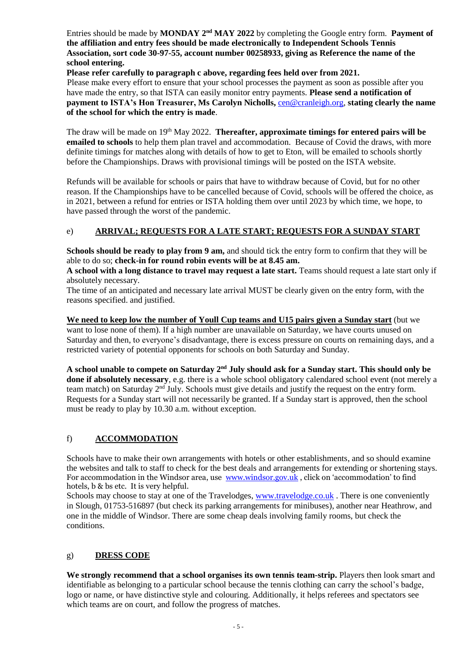Entries should be made by **MONDAY** 2<sup>nd</sup> MAY 2022 by completing the Google entry form. Payment of **the affiliation and entry fees should be made electronically to Independent Schools Tennis Association, sort code 30-97-55, account number 00258933, giving as Reference the name of the school entering.**

**Please refer carefully to paragraph c above, regarding fees held over from 2021.**

Please make every effort to ensure that your school processes the payment as soon as possible after you have made the entry, so that ISTA can easily monitor entry payments. **Please send a notification of payment to ISTA's Hon Treasurer, Ms Carolyn Nicholls,** [cen@cranleigh.org,](mailto:cen@cranleigh.org) **stating clearly the name of the school for which the entry is made**.

The draw will be made on 19<sup>th</sup> May 2022. **Thereafter, approximate timings for entered pairs will be emailed to schools** to help them plan travel and accommodation. Because of Covid the draws, with more definite timings for matches along with details of how to get to Eton, will be emailed to schools shortly before the Championships. Draws with provisional timings will be posted on the ISTA website.

Refunds will be available for schools or pairs that have to withdraw because of Covid, but for no other reason. If the Championships have to be cancelled because of Covid, schools will be offered the choice, as in 2021, between a refund for entries or ISTA holding them over until 2023 by which time, we hope, to have passed through the worst of the pandemic.

### e) **ARRIVAL; REQUESTS FOR A LATE START; REQUESTS FOR A SUNDAY START**

**Schools should be ready to play from 9 am,** and should tick the entry form to confirm that they will be able to do so; **check-in for round robin events will be at 8.45 am.**

**A school with a long distance to travel may request a late start.** Teams should request a late start only if absolutely necessary.

The time of an anticipated and necessary late arrival MUST be clearly given on the entry form, with the reasons specified. and justified.

**We need to keep low the number of Youll Cup teams and U15 pairs given a Sunday start** (but we want to lose none of them). If a high number are unavailable on Saturday, we have courts unused on Saturday and then, to everyone's disadvantage, there is excess pressure on courts on remaining days, and a restricted variety of potential opponents for schools on both Saturday and Sunday.

A school unable to compete on Saturday 2<sup>nd</sup> July should ask for a Sunday start. This should only be **done if absolutely necessary**, e.g. there is a whole school obligatory calendared school event (not merely a team match) on Saturday  $2<sup>nd</sup>$  July. Schools must give details and justify the request on the entry form. Requests for a Sunday start will not necessarily be granted. If a Sunday start is approved, then the school must be ready to play by 10.30 a.m. without exception.

## f) **ACCOMMODATION**

Schools have to make their own arrangements with hotels or other establishments, and so should examine the websites and talk to staff to check for the best deals and arrangements for extending or shortening stays. For accommodation in the Windsor area, use [www.windsor.gov.uk](file:///C:/Users/ajblackman/AppData/Documents%20and%20Settings/Blackman/Local%20Settings/Local%20Settings/Local%20Settings/Local%20Settings/Local%20Settings/g.pierce/Local%20Settings/Temporary%20Internet%20Files/OLK11/www.windsor.gov.uk), click on 'accommodation' to find hotels, b & bs etc. It is very helpful.

Schools may choose to stay at one of the Travelodges, [www.travelodge.co.uk](http://www.travelodge.co.uk/). There is one conveniently in Slough, 01753-516897 (but check its parking arrangements for minibuses), another near Heathrow, and one in the middle of Windsor. There are some cheap deals involving family rooms, but check the conditions.

## g) **DRESS CODE**

**We strongly recommend that a school organises its own tennis team-strip.** Players then look smart and identifiable as belonging to a particular school because the tennis clothing can carry the school's badge, logo or name, or have distinctive style and colouring. Additionally, it helps referees and spectators see which teams are on court, and follow the progress of matches.